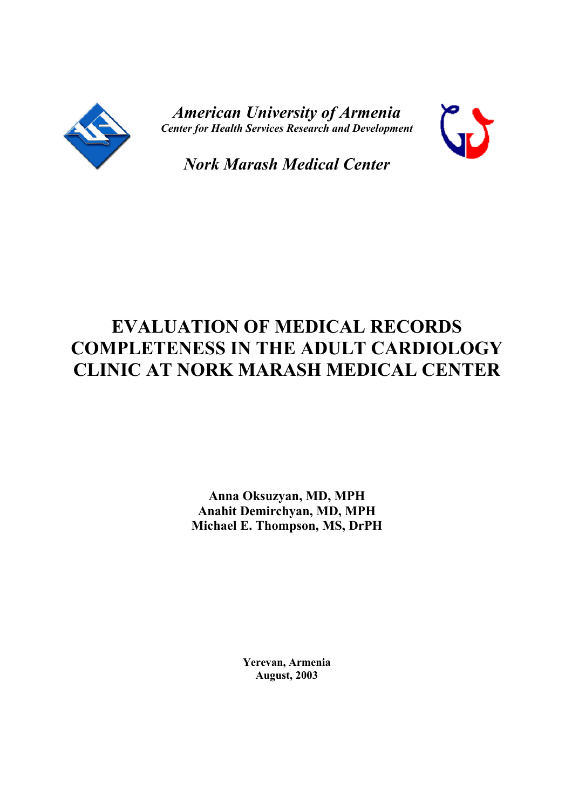

*American University of Armenia Center for Health Services Research and Development*



*Nork Marash Medical Center*

# **EVALUATION OF MEDICAL RECORDS COMPLETENESS IN THE ADULT CARDIOLOGY CLINIC AT NORK MARASH MEDICAL CENTER**

**Anna Oksuzyan, MD, MPH Anahit Demirchyan, MD, MPH Michael E. Thompson, MS, DrPH**

> **Yerevan, Armenia August, 2003**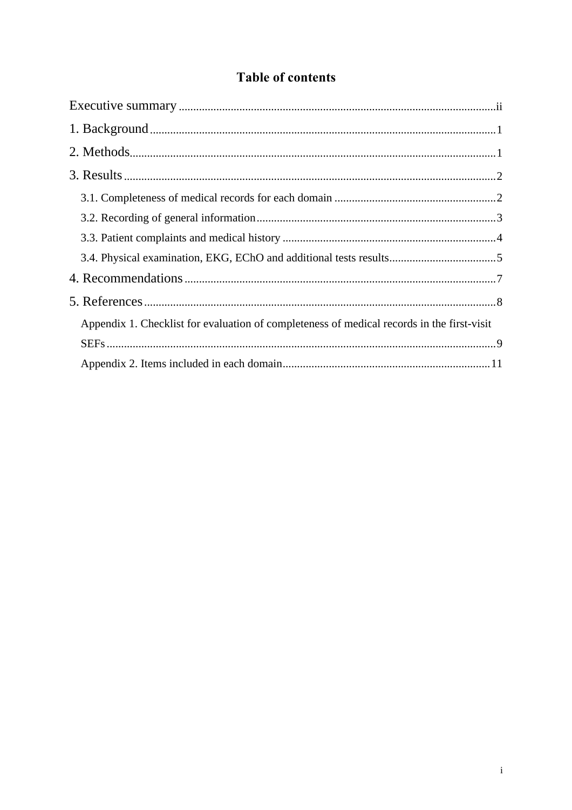## **Table of contents**

| Appendix 1. Checklist for evaluation of completeness of medical records in the first-visit |  |
|--------------------------------------------------------------------------------------------|--|
|                                                                                            |  |
|                                                                                            |  |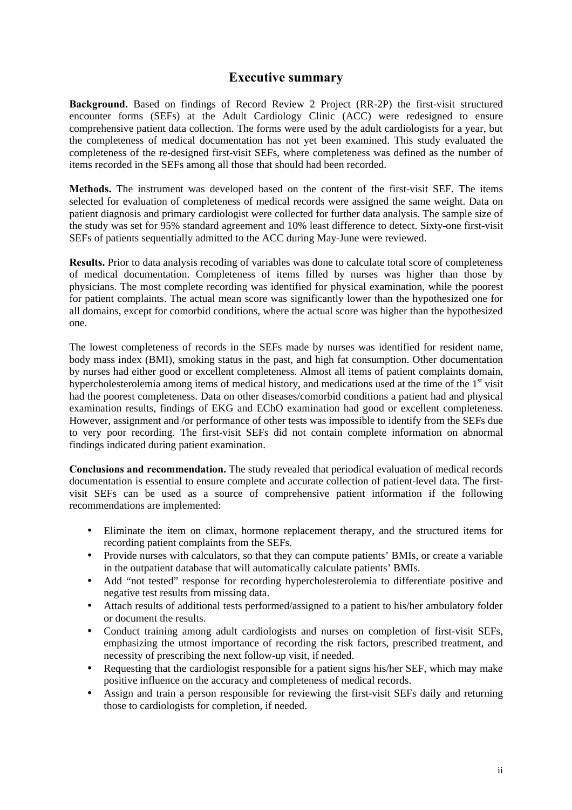#### **Executive summary**

**Background.** Based on findings of Record Review 2 Project (RR-2P) the first-visit structured encounter forms (SEFs) at the Adult Cardiology Clinic (ACC) were redesigned to ensure comprehensive patient data collection. The forms were used by the adult cardiologists for a year, but the completeness of medical documentation has not yet been examined. This study evaluated the completeness of the re-designed first-visit SEFs, where completeness was defined as the number of items recorded in the SEFs among all those that should had been recorded.

**Methods.** The instrument was developed based on the content of the first-visit SEF. The items selected for evaluation of completeness of medical records were assigned the same weight. Data on patient diagnosis and primary cardiologist were collected for further data analysis. The sample size of the study was set for 95% standard agreement and 10% least difference to detect. Sixty-one first-visit SEFs of patients sequentially admitted to the ACC during May-June were reviewed.

**Results.** Prior to data analysis recoding of variables was done to calculate total score of completeness of medical documentation. Completeness of items filled by nurses was higher than those by physicians. The most complete recording was identified for physical examination, while the poorest for patient complaints. The actual mean score was significantly lower than the hypothesized one for all domains, except for comorbid conditions, where the actual score was higher than the hypothesized one.

The lowest completeness of records in the SEFs made by nurses was identified for resident name, body mass index (BMI), smoking status in the past, and high fat consumption. Other documentation by nurses had either good or excellent completeness. Almost all items of patient complaints domain, hypercholesterolemia among items of medical history, and medications used at the time of the 1<sup>st</sup> visit had the poorest completeness. Data on other diseases/comorbid conditions a patient had and physical examination results, findings of EKG and EChO examination had good or excellent completeness. However, assignment and /or performance of other tests was impossible to identify from the SEFs due to very poor recording. The first-visit SEFs did not contain complete information on abnormal findings indicated during patient examination.

**Conclusions and recommendation.** The study revealed that periodical evaluation of medical records documentation is essential to ensure complete and accurate collection of patient-level data. The firstvisit SEFs can be used as a source of comprehensive patient information if the following recommendations are implemented:

- Eliminate the item on climax, hormone replacement therapy, and the structured items for recording patient complaints from the SEFs.
- Provide nurses with calculators, so that they can compute patients' BMIs, or create a variable in the outpatient database that will automatically calculate patients' BMIs.
- Add "not tested" response for recording hypercholesterolemia to differentiate positive and negative test results from missing data.
- Attach results of additional tests performed/assigned to a patient to his/her ambulatory folder or document the results.
- Conduct training among adult cardiologists and nurses on completion of first-visit SEFs, emphasizing the utmost importance of recording the risk factors, prescribed treatment, and necessity of prescribing the next follow-up visit, if needed.
- Requesting that the cardiologist responsible for a patient signs his/her SEF, which may make positive influence on the accuracy and completeness of medical records.
- Assign and train a person responsible for reviewing the first-visit SEFs daily and returning those to cardiologists for completion, if needed.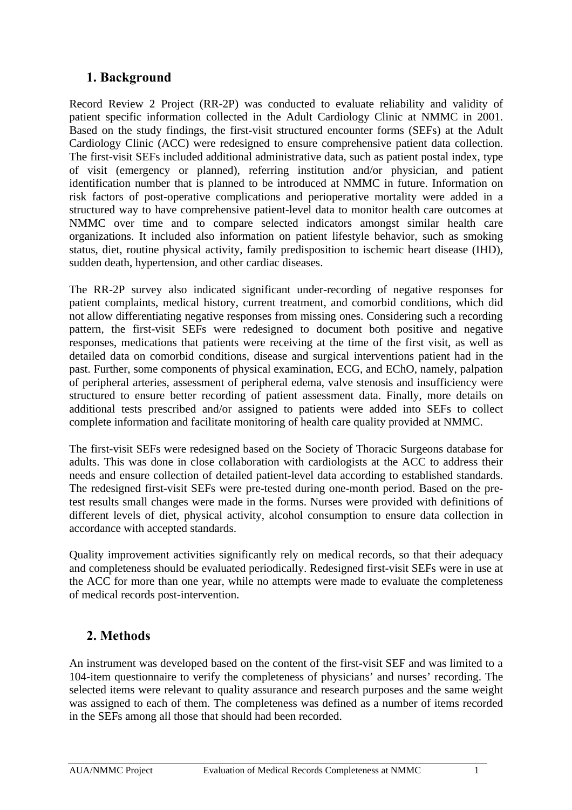## **1. Background**

Record Review 2 Project (RR-2P) was conducted to evaluate reliability and validity of patient specific information collected in the Adult Cardiology Clinic at NMMC in 2001. Based on the study findings, the first-visit structured encounter forms (SEFs) at the Adult Cardiology Clinic (ACC) were redesigned to ensure comprehensive patient data collection. The first-visit SEFs included additional administrative data, such as patient postal index, type of visit (emergency or planned), referring institution and/or physician, and patient identification number that is planned to be introduced at NMMC in future. Information on risk factors of post-operative complications and perioperative mortality were added in a structured way to have comprehensive patient-level data to monitor health care outcomes at NMMC over time and to compare selected indicators amongst similar health care organizations. It included also information on patient lifestyle behavior, such as smoking status, diet, routine physical activity, family predisposition to ischemic heart disease (IHD), sudden death, hypertension, and other cardiac diseases.

The RR-2P survey also indicated significant under-recording of negative responses for patient complaints, medical history, current treatment, and comorbid conditions, which did not allow differentiating negative responses from missing ones. Considering such a recording pattern, the first-visit SEFs were redesigned to document both positive and negative responses, medications that patients were receiving at the time of the first visit, as well as detailed data on comorbid conditions, disease and surgical interventions patient had in the past. Further, some components of physical examination, ECG, and EChO, namely, palpation of peripheral arteries, assessment of peripheral edema, valve stenosis and insufficiency were structured to ensure better recording of patient assessment data. Finally, more details on additional tests prescribed and/or assigned to patients were added into SEFs to collect complete information and facilitate monitoring of health care quality provided at NMMC.

The first-visit SEFs were redesigned based on the Society of Thoracic Surgeons database for adults. This was done in close collaboration with cardiologists at the ACC to address their needs and ensure collection of detailed patient-level data according to established standards. The redesigned first-visit SEFs were pre-tested during one-month period. Based on the pretest results small changes were made in the forms. Nurses were provided with definitions of different levels of diet, physical activity, alcohol consumption to ensure data collection in accordance with accepted standards.

Quality improvement activities significantly rely on medical records, so that their adequacy and completeness should be evaluated periodically. Redesigned first-visit SEFs were in use at the ACC for more than one year, while no attempts were made to evaluate the completeness of medical records post-intervention.

## **2. Methods**

An instrument was developed based on the content of the first-visit SEF and was limited to a 104-item questionnaire to verify the completeness of physicians' and nurses' recording. The selected items were relevant to quality assurance and research purposes and the same weight was assigned to each of them. The completeness was defined as a number of items recorded in the SEFs among all those that should had been recorded.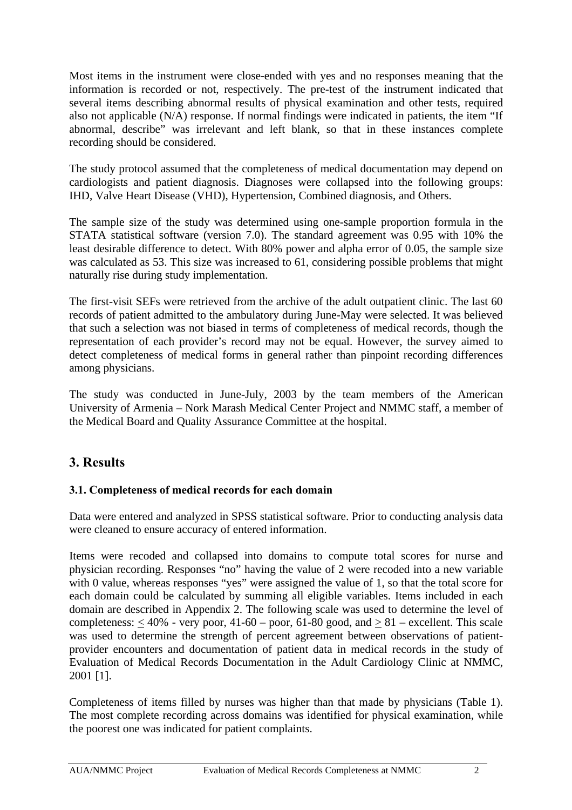Most items in the instrument were close-ended with yes and no responses meaning that the information is recorded or not, respectively. The pre-test of the instrument indicated that several items describing abnormal results of physical examination and other tests, required also not applicable (N/A) response. If normal findings were indicated in patients, the item "If abnormal, describe" was irrelevant and left blank, so that in these instances complete recording should be considered.

The study protocol assumed that the completeness of medical documentation may depend on cardiologists and patient diagnosis. Diagnoses were collapsed into the following groups: IHD, Valve Heart Disease (VHD), Hypertension, Combined diagnosis, and Others.

The sample size of the study was determined using one-sample proportion formula in the STATA statistical software (version 7.0). The standard agreement was 0.95 with 10% the least desirable difference to detect. With 80% power and alpha error of 0.05, the sample size was calculated as 53. This size was increased to 61, considering possible problems that might naturally rise during study implementation.

The first-visit SEFs were retrieved from the archive of the adult outpatient clinic. The last 60 records of patient admitted to the ambulatory during June-May were selected. It was believed that such a selection was not biased in terms of completeness of medical records, though the representation of each provider's record may not be equal. However, the survey aimed to detect completeness of medical forms in general rather than pinpoint recording differences among physicians.

The study was conducted in June-July, 2003 by the team members of the American University of Armenia – Nork Marash Medical Center Project and NMMC staff, a member of the Medical Board and Quality Assurance Committee at the hospital.

## **3. Results**

#### **3.1. Completeness of medical records for each domain**

Data were entered and analyzed in SPSS statistical software. Prior to conducting analysis data were cleaned to ensure accuracy of entered information.

Items were recoded and collapsed into domains to compute total scores for nurse and physician recording. Responses "no" having the value of 2 were recoded into a new variable with 0 value, whereas responses "yes" were assigned the value of 1, so that the total score for each domain could be calculated by summing all eligible variables. Items included in each domain are described in Appendix 2. The following scale was used to determine the level of completeness:  $<$  40% - very poor, 41-60 – poor, 61-80 good, and  $> 81$  – excellent. This scale was used to determine the strength of percent agreement between observations of patientprovider encounters and documentation of patient data in medical records in the study of Evaluation of Medical Records Documentation in the Adult Cardiology Clinic at NMMC, 2001 [1].

Completeness of items filled by nurses was higher than that made by physicians (Table 1). The most complete recording across domains was identified for physical examination, while the poorest one was indicated for patient complaints.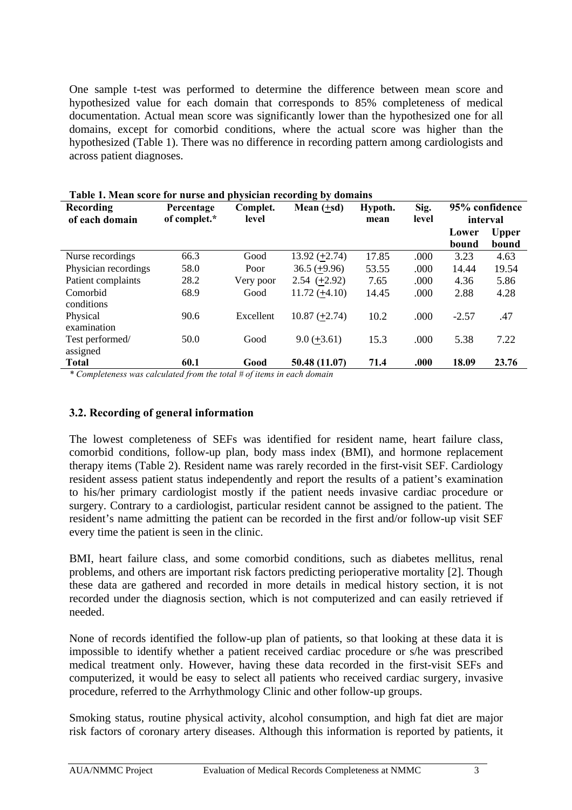One sample t-test was performed to determine the difference between mean score and hypothesized value for each domain that corresponds to 85% completeness of medical documentation. Actual mean score was significantly lower than the hypothesized one for all domains, except for comorbid conditions, where the actual score was higher than the hypothesized (Table 1). There was no difference in recording pattern among cardiologists and across patient diagnoses.

| <b>Recording</b><br>of each domain | Percentage<br>of complet.* | Complet.<br>level | Mean $(+sd)$    | Hypoth.<br>mean | Sig.<br>level |                | 95% confidence<br>interval |
|------------------------------------|----------------------------|-------------------|-----------------|-----------------|---------------|----------------|----------------------------|
|                                    |                            |                   |                 |                 |               | Lower<br>bound | <b>Upper</b><br>bound      |
| Nurse recordings                   | 66.3                       | Good              | $13.92 (+2.74)$ | 17.85           | .000          | 3.23           | 4.63                       |
| Physician recordings               | 58.0                       | Poor              | $36.5 (+9.96)$  | 53.55           | .000          | 14.44          | 19.54                      |
| Patient complaints                 | 28.2                       | Very poor         | $2.54(+2.92)$   | 7.65            | .000          | 4.36           | 5.86                       |
| Comorbid<br>conditions             | 68.9                       | Good              | $11.72 (+4.10)$ | 14.45           | .000          | 2.88           | 4.28                       |
| Physical<br>examination            | 90.6                       | Excellent         | $10.87 (+2.74)$ | 10.2            | .000          | $-2.57$        | .47                        |
| Test performed/<br>assigned        | 50.0                       | Good              | $9.0 (+3.61)$   | 15.3            | .000          | 5.38           | 7.22                       |
| <b>Total</b>                       | 60.1                       | Good              | 50.48 (11.07)   | 71.4            | .000          | 18.09          | 23.76                      |

| Table 1. Mean score for nurse and physician recording by domains |  |  |
|------------------------------------------------------------------|--|--|
|                                                                  |  |  |

*\* Completeness was calculated from the total # of items in each domain* 

#### **3.2. Recording of general information**

The lowest completeness of SEFs was identified for resident name, heart failure class, comorbid conditions, follow-up plan, body mass index (BMI), and hormone replacement therapy items (Table 2). Resident name was rarely recorded in the first-visit SEF. Cardiology resident assess patient status independently and report the results of a patient's examination to his/her primary cardiologist mostly if the patient needs invasive cardiac procedure or surgery. Contrary to a cardiologist, particular resident cannot be assigned to the patient. The resident's name admitting the patient can be recorded in the first and/or follow-up visit SEF every time the patient is seen in the clinic.

BMI, heart failure class, and some comorbid conditions, such as diabetes mellitus, renal problems, and others are important risk factors predicting perioperative mortality [2]. Though these data are gathered and recorded in more details in medical history section, it is not recorded under the diagnosis section, which is not computerized and can easily retrieved if needed.

None of records identified the follow-up plan of patients, so that looking at these data it is impossible to identify whether a patient received cardiac procedure or s/he was prescribed medical treatment only. However, having these data recorded in the first-visit SEFs and computerized, it would be easy to select all patients who received cardiac surgery, invasive procedure, referred to the Arrhythmology Clinic and other follow-up groups.

Smoking status, routine physical activity, alcohol consumption, and high fat diet are major risk factors of coronary artery diseases. Although this information is reported by patients, it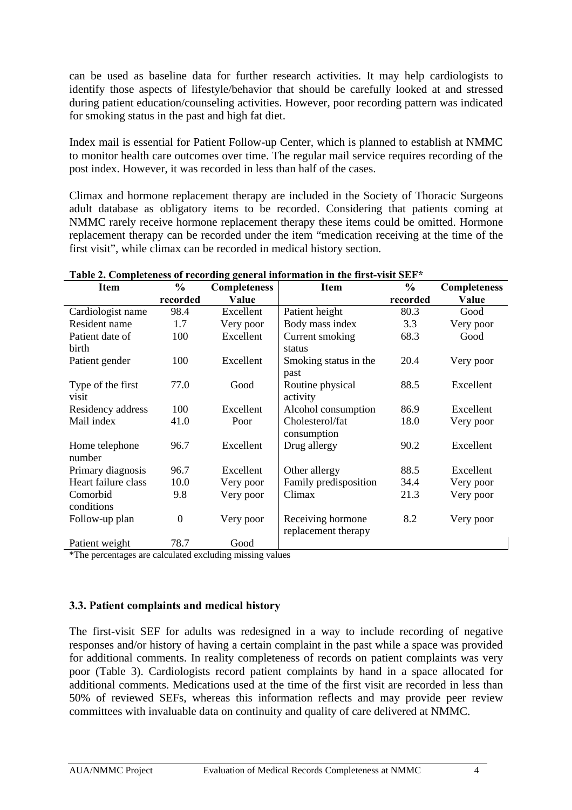can be used as baseline data for further research activities. It may help cardiologists to identify those aspects of lifestyle/behavior that should be carefully looked at and stressed during patient education/counseling activities. However, poor recording pattern was indicated for smoking status in the past and high fat diet.

Index mail is essential for Patient Follow-up Center, which is planned to establish at NMMC to monitor health care outcomes over time. The regular mail service requires recording of the post index. However, it was recorded in less than half of the cases.

Climax and hormone replacement therapy are included in the Society of Thoracic Surgeons adult database as obligatory items to be recorded. Considering that patients coming at NMMC rarely receive hormone replacement therapy these items could be omitted. Hormone replacement therapy can be recorded under the item "medication receiving at the time of the first visit", while climax can be recorded in medical history section.

| <b>Item</b>         | $\frac{6}{9}$ | <b>Completeness</b> | <b>Item</b>           | $\frac{0}{0}$ | <b>Completeness</b> |
|---------------------|---------------|---------------------|-----------------------|---------------|---------------------|
|                     | recorded      | Value               |                       | recorded      | Value               |
| Cardiologist name   | 98.4          | Excellent           | Patient height        | 80.3          | Good                |
| Resident name       | 1.7           | Very poor           | Body mass index       | 3.3           | Very poor           |
| Patient date of     | 100           | Excellent           | Current smoking       | 68.3          | Good                |
| birth               |               |                     | status                |               |                     |
| Patient gender      | 100           | Excellent           | Smoking status in the | 20.4          | Very poor           |
|                     |               |                     | past                  |               |                     |
| Type of the first   | 77.0          | Good                | Routine physical      | 88.5          | Excellent           |
| visit               |               |                     | activity              |               |                     |
| Residency address   | 100           | Excellent           | Alcohol consumption   | 86.9          | Excellent           |
| Mail index          | 41.0          | Poor                | Cholesterol/fat       | 18.0          | Very poor           |
|                     |               |                     | consumption           |               |                     |
| Home telephone      | 96.7          | Excellent           | Drug allergy          | 90.2          | Excellent           |
| number              |               |                     |                       |               |                     |
| Primary diagnosis   | 96.7          | Excellent           | Other allergy         | 88.5          | Excellent           |
| Heart failure class | 10.0          | Very poor           | Family predisposition | 34.4          | Very poor           |
| Comorbid            | 9.8           | Very poor           | Climax                | 21.3          | Very poor           |
| conditions          |               |                     |                       |               |                     |
| Follow-up plan      | $\theta$      | Very poor           | Receiving hormone     | 8.2           | Very poor           |
|                     |               |                     | replacement therapy   |               |                     |
| Patient weight      | 78.7          | Good                |                       |               |                     |

**Table 2. Completeness of recording general information in the first-visit SEF\*** 

\*The percentages are calculated excluding missing values

#### **3.3. Patient complaints and medical history**

The first-visit SEF for adults was redesigned in a way to include recording of negative responses and/or history of having a certain complaint in the past while a space was provided for additional comments. In reality completeness of records on patient complaints was very poor (Table 3). Cardiologists record patient complaints by hand in a space allocated for additional comments. Medications used at the time of the first visit are recorded in less than 50% of reviewed SEFs, whereas this information reflects and may provide peer review committees with invaluable data on continuity and quality of care delivered at NMMC.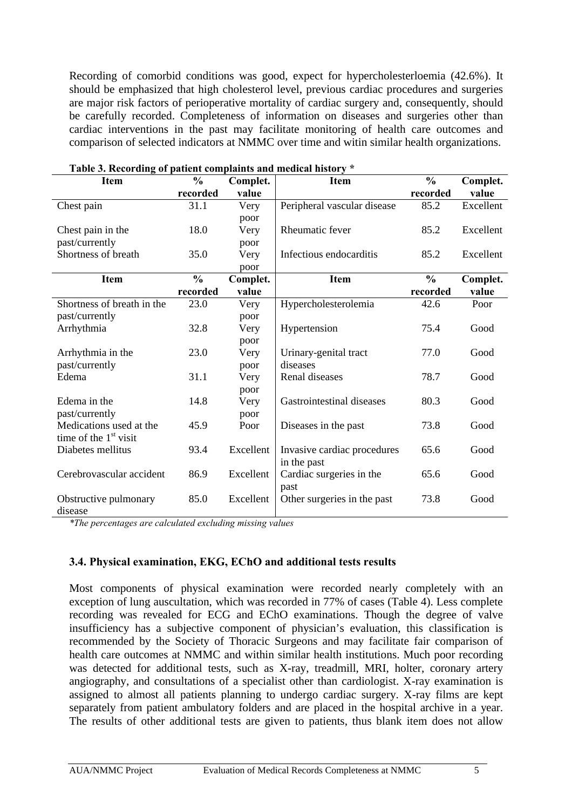Recording of comorbid conditions was good, expect for hypercholesterloemia (42.6%). It should be emphasized that high cholesterol level, previous cardiac procedures and surgeries are major risk factors of perioperative mortality of cardiac surgery and, consequently, should be carefully recorded. Completeness of information on diseases and surgeries other than cardiac interventions in the past may facilitate monitoring of health care outcomes and comparison of selected indicators at NMMC over time and witin similar health organizations.

| <b>Item</b>                | $\frac{0}{0}$ | Complet.  | Item                        | $\frac{0}{0}$ | Complet.  |
|----------------------------|---------------|-----------|-----------------------------|---------------|-----------|
|                            | recorded      | value     |                             | recorded      | value     |
| Chest pain                 | 31.1          | Very      | Peripheral vascular disease | 85.2          | Excellent |
|                            |               | poor      |                             |               |           |
| Chest pain in the          | 18.0          | Very      | Rheumatic fever             | 85.2          | Excellent |
| past/currently             |               | poor      |                             |               |           |
| Shortness of breath        | 35.0          | Very      | Infectious endocarditis     | 85.2          | Excellent |
|                            |               | poor      |                             |               |           |
| <b>Item</b>                | $\frac{0}{0}$ | Complet.  | <b>Item</b>                 | $\frac{0}{0}$ | Complet.  |
|                            | recorded      | value     |                             | recorded      | value     |
| Shortness of breath in the | 23.0          | Very      | Hypercholesterolemia        | 42.6          | Poor      |
| past/currently             |               | poor      |                             |               |           |
| Arrhythmia                 | 32.8          | Very      | Hypertension                | 75.4          | Good      |
|                            |               | poor      |                             |               |           |
| Arrhythmia in the          | 23.0          | Very      | Urinary-genital tract       | 77.0          | Good      |
| past/currently             |               | poor      | diseases                    |               |           |
| Edema                      | 31.1          | Very      | Renal diseases              | 78.7          | Good      |
|                            |               | poor      |                             |               |           |
| Edema in the               | 14.8          | Very      | Gastrointestinal diseases   | 80.3          | Good      |
| past/currently             |               | poor      |                             |               |           |
| Medications used at the    | 45.9          | Poor      | Diseases in the past        | 73.8          | Good      |
| time of the $1st$ visit    |               |           |                             |               |           |
| Diabetes mellitus          | 93.4          | Excellent | Invasive cardiac procedures | 65.6          | Good      |
|                            |               |           | in the past                 |               |           |
| Cerebrovascular accident   | 86.9          | Excellent | Cardiac surgeries in the    | 65.6          | Good      |
|                            |               |           | past                        |               |           |
| Obstructive pulmonary      | 85.0          | Excellent | Other surgeries in the past | 73.8          | Good      |
| disease                    |               |           |                             |               |           |

*\*The percentages are calculated excluding missing values* 

#### **3.4. Physical examination, EKG, EChO and additional tests results**

Most components of physical examination were recorded nearly completely with an exception of lung auscultation, which was recorded in 77% of cases (Table 4). Less complete recording was revealed for ECG and EChO examinations. Though the degree of valve insufficiency has a subjective component of physician's evaluation, this classification is recommended by the Society of Thoracic Surgeons and may facilitate fair comparison of health care outcomes at NMMC and within similar health institutions. Much poor recording was detected for additional tests, such as X-ray, treadmill, MRI, holter, coronary artery angiography, and consultations of a specialist other than cardiologist. X-ray examination is assigned to almost all patients planning to undergo cardiac surgery. X-ray films are kept separately from patient ambulatory folders and are placed in the hospital archive in a year. The results of other additional tests are given to patients, thus blank item does not allow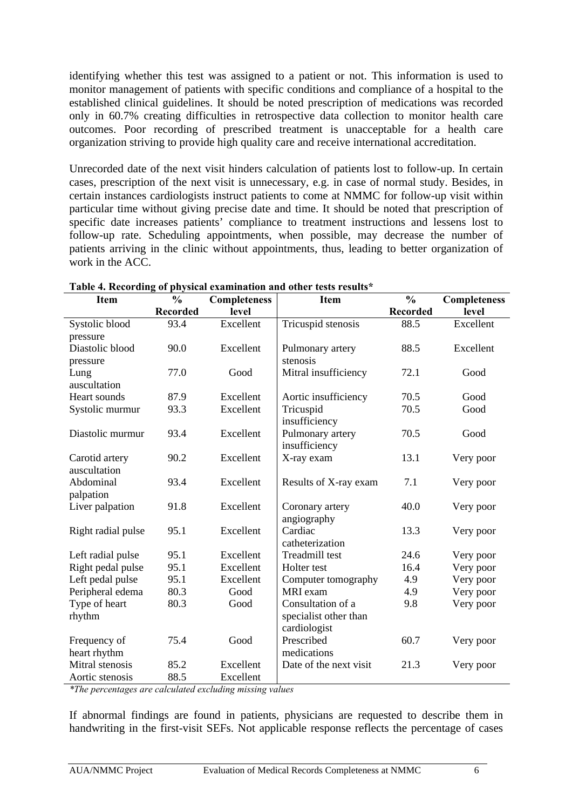identifying whether this test was assigned to a patient or not. This information is used to monitor management of patients with specific conditions and compliance of a hospital to the established clinical guidelines. It should be noted prescription of medications was recorded only in 60.7% creating difficulties in retrospective data collection to monitor health care outcomes. Poor recording of prescribed treatment is unacceptable for a health care organization striving to provide high quality care and receive international accreditation.

Unrecorded date of the next visit hinders calculation of patients lost to follow-up. In certain cases, prescription of the next visit is unnecessary, e.g. in case of normal study. Besides, in certain instances cardiologists instruct patients to come at NMMC for follow-up visit within particular time without giving precise date and time. It should be noted that prescription of specific date increases patients' compliance to treatment instructions and lessens lost to follow-up rate. Scheduling appointments, when possible, may decrease the number of patients arriving in the clinic without appointments, thus, leading to better organization of work in the ACC.

| <b>Item</b>        | $\frac{0}{0}$   | <b>Completeness</b> | <b>Item</b>            | $\frac{0}{0}$   | <b>Completeness</b> |
|--------------------|-----------------|---------------------|------------------------|-----------------|---------------------|
|                    | <b>Recorded</b> | level               |                        | <b>Recorded</b> | level               |
| Systolic blood     | 93.4            | Excellent           | Tricuspid stenosis     | 88.5            | Excellent           |
| pressure           |                 |                     |                        |                 |                     |
| Diastolic blood    | 90.0            | Excellent           | Pulmonary artery       | 88.5            | Excellent           |
| pressure           |                 |                     | stenosis               |                 |                     |
| Lung               | 77.0            | Good                | Mitral insufficiency   | 72.1            | Good                |
| auscultation       |                 |                     |                        |                 |                     |
| Heart sounds       | 87.9            | Excellent           | Aortic insufficiency   | 70.5            | Good                |
| Systolic murmur    | 93.3            | Excellent           | Tricuspid              | 70.5            | Good                |
|                    |                 |                     | insufficiency          |                 |                     |
| Diastolic murmur   | 93.4            | Excellent           | Pulmonary artery       | 70.5            | Good                |
|                    |                 |                     | insufficiency          |                 |                     |
| Carotid artery     | 90.2            | Excellent           | X-ray exam             | 13.1            | Very poor           |
| auscultation       |                 |                     |                        |                 |                     |
| Abdominal          | 93.4            | Excellent           | Results of X-ray exam  | 7.1             | Very poor           |
| palpation          |                 |                     |                        |                 |                     |
| Liver palpation    | 91.8            | Excellent           | Coronary artery        | 40.0            | Very poor           |
|                    |                 |                     | angiography            |                 |                     |
| Right radial pulse | 95.1            | Excellent           | Cardiac                | 13.3            | Very poor           |
|                    |                 |                     | catheterization        |                 |                     |
| Left radial pulse  | 95.1            | Excellent           | Treadmill test         | 24.6            | Very poor           |
| Right pedal pulse  | 95.1            | Excellent           | Holter test            | 16.4            | Very poor           |
| Left pedal pulse   | 95.1            | Excellent           | Computer tomography    | 4.9             | Very poor           |
| Peripheral edema   | 80.3            | Good                | MRI exam               | 4.9             | Very poor           |
| Type of heart      | 80.3            | Good                | Consultation of a      | 9.8             | Very poor           |
| rhythm             |                 |                     | specialist other than  |                 |                     |
|                    |                 |                     | cardiologist           |                 |                     |
| Frequency of       | 75.4            | Good                | Prescribed             | 60.7            | Very poor           |
| heart rhythm       |                 |                     | medications            |                 |                     |
| Mitral stenosis    | 85.2            | Excellent           | Date of the next visit | 21.3            | Very poor           |
| Aortic stenosis    | 88.5            | Excellent           |                        |                 |                     |

**Table 4. Recording of physical examination and other tests results\*** 

*\*The percentages are calculated excluding missing values* 

If abnormal findings are found in patients, physicians are requested to describe them in handwriting in the first-visit SEFs. Not applicable response reflects the percentage of cases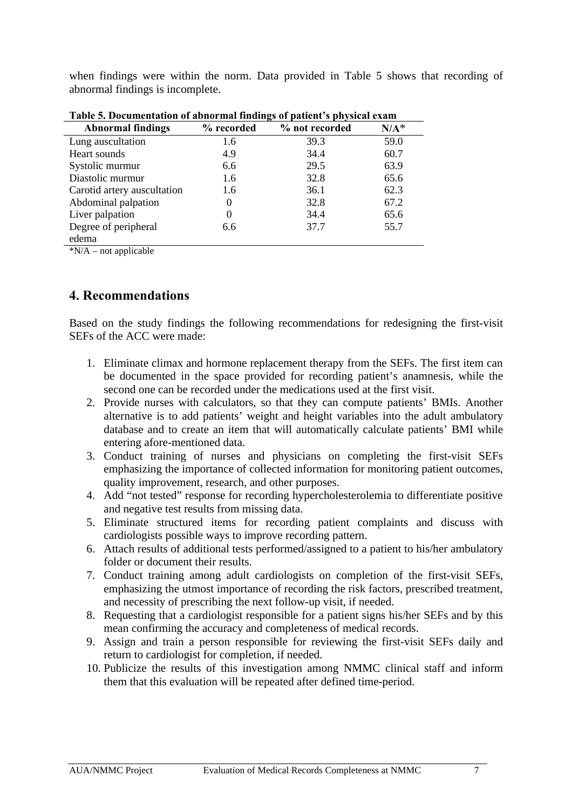when findings were within the norm. Data provided in Table 5 shows that recording of abnormal findings is incomplete.

| таріс э. Documentation от арногінат піціндэ от райсій з рігузісат сланг |            |                |         |  |
|-------------------------------------------------------------------------|------------|----------------|---------|--|
| <b>Abnormal findings</b>                                                | % recorded | % not recorded | $N/A^*$ |  |
| Lung auscultation                                                       | 1.6        | 39.3           | 59.0    |  |
| Heart sounds                                                            | 4.9        | 34.4           | 60.7    |  |
| Systolic murmur                                                         | 6.6        | 29.5           | 63.9    |  |
| Diastolic murmur                                                        | 1.6        | 32.8           | 65.6    |  |
| Carotid artery auscultation                                             | 1.6        | 36.1           | 62.3    |  |
| Abdominal palpation                                                     | $\theta$   | 32.8           | 67.2    |  |
| Liver palpation                                                         | 0          | 34.4           | 65.6    |  |
| Degree of peripheral                                                    | 6.6        | 37.7           | 55.7    |  |
| edema                                                                   |            |                |         |  |

**Table 5. Documentation of abnormal findings of patient's physical exam** 

 $*N/A$  – not applicable

## **4. Recommendations**

Based on the study findings the following recommendations for redesigning the first-visit SEFs of the ACC were made:

- 1. Eliminate climax and hormone replacement therapy from the SEFs. The first item can be documented in the space provided for recording patient's anamnesis, while the second one can be recorded under the medications used at the first visit.
- 2. Provide nurses with calculators, so that they can compute patients' BMIs. Another alternative is to add patients' weight and height variables into the adult ambulatory database and to create an item that will automatically calculate patients' BMI while entering afore-mentioned data.
- 3. Conduct training of nurses and physicians on completing the first-visit SEFs emphasizing the importance of collected information for monitoring patient outcomes, quality improvement, research, and other purposes.
- 4. Add "not tested" response for recording hypercholesterolemia to differentiate positive and negative test results from missing data.
- 5. Eliminate structured items for recording patient complaints and discuss with cardiologists possible ways to improve recording pattern.
- 6. Attach results of additional tests performed/assigned to a patient to his/her ambulatory folder or document their results.
- 7. Conduct training among adult cardiologists on completion of the first-visit SEFs, emphasizing the utmost importance of recording the risk factors, prescribed treatment, and necessity of prescribing the next follow-up visit, if needed.
- 8. Requesting that a cardiologist responsible for a patient signs his/her SEFs and by this mean confirming the accuracy and completeness of medical records.
- 9. Assign and train a person responsible for reviewing the first-visit SEFs daily and return to cardiologist for completion, if needed.
- 10. Publicize the results of this investigation among NMMC clinical staff and inform them that this evaluation will be repeated after defined time-period.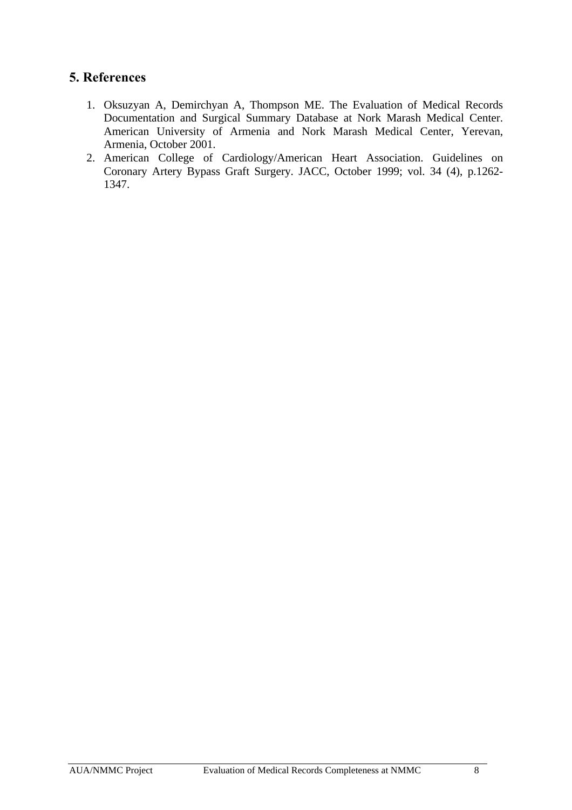## **5. References**

- 1. Oksuzyan A, Demirchyan A, Thompson ME. The Evaluation of Medical Records Documentation and Surgical Summary Database at Nork Marash Medical Center. American University of Armenia and Nork Marash Medical Center, Yerevan, Armenia, October 2001.
- 2. American College of Cardiology/American Heart Association. Guidelines on Coronary Artery Bypass Graft Surgery. JACC, October 1999; vol. 34 (4), p.1262- 1347.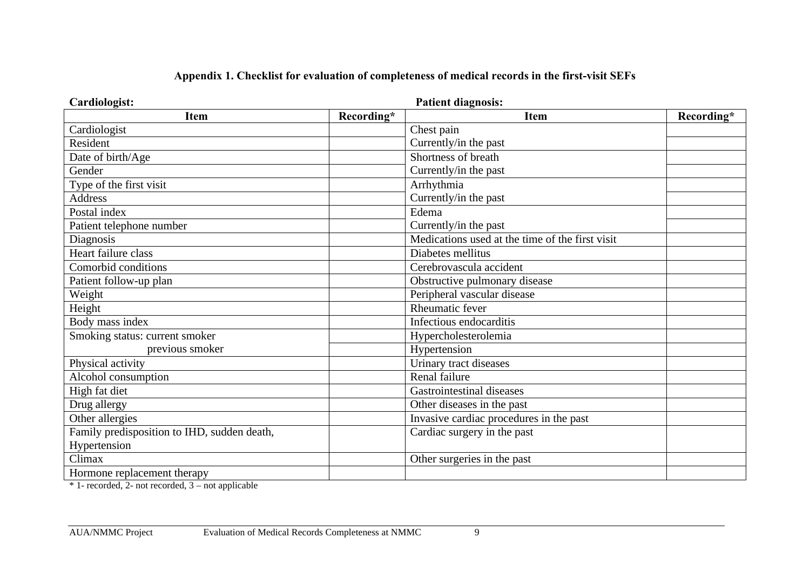| Cardiologist:                               | <b>Patient diagnosis:</b>                       |            |
|---------------------------------------------|-------------------------------------------------|------------|
| Recording*<br><b>Item</b>                   | <b>Item</b>                                     | Recording* |
| Cardiologist                                | Chest pain                                      |            |
| Resident                                    | Currently/in the past                           |            |
| Date of birth/Age                           | Shortness of breath                             |            |
| Gender                                      | Currently/in the past                           |            |
| Type of the first visit                     | Arrhythmia                                      |            |
| <b>Address</b>                              | Currently/in the past                           |            |
| Postal index                                | Edema                                           |            |
| Patient telephone number                    | Currently/in the past                           |            |
| Diagnosis                                   | Medications used at the time of the first visit |            |
| Heart failure class                         | Diabetes mellitus                               |            |
| Comorbid conditions                         | Cerebrovascula accident                         |            |
| Patient follow-up plan                      | Obstructive pulmonary disease                   |            |
| Weight                                      | Peripheral vascular disease                     |            |
| Height                                      | Rheumatic fever                                 |            |
| Body mass index                             | Infectious endocarditis                         |            |
| Smoking status: current smoker              | Hypercholesterolemia                            |            |
| previous smoker                             | Hypertension                                    |            |
| Physical activity                           | Urinary tract diseases                          |            |
| Alcohol consumption                         | Renal failure                                   |            |
| High fat diet                               | Gastrointestinal diseases                       |            |
| Drug allergy                                | Other diseases in the past                      |            |
| Other allergies                             | Invasive cardiac procedures in the past         |            |
| Family predisposition to IHD, sudden death, | Cardiac surgery in the past                     |            |
| Hypertension                                |                                                 |            |
| Climax                                      | Other surgeries in the past                     |            |
| Hormone replacement therapy                 |                                                 |            |

#### **Appendix 1. Checklist for evaluation of completeness of medical records in the first-visit SEFs**

\* 1- recorded, 2- not recorded, 3 – not applicable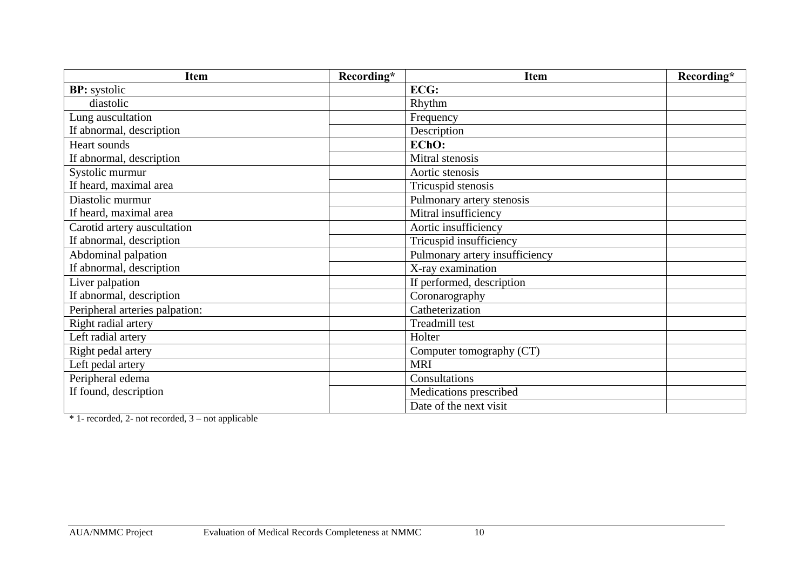| <b>Item</b>                    | Recording* | <b>Item</b>                    | Recording* |
|--------------------------------|------------|--------------------------------|------------|
| <b>BP:</b> systolic            |            | ECG:                           |            |
| diastolic                      |            | Rhythm                         |            |
| Lung auscultation              |            | Frequency                      |            |
| If abnormal, description       |            | Description                    |            |
| Heart sounds                   |            | EChO:                          |            |
| If abnormal, description       |            | Mitral stenosis                |            |
| Systolic murmur                |            | Aortic stenosis                |            |
| If heard, maximal area         |            | Tricuspid stenosis             |            |
| Diastolic murmur               |            | Pulmonary artery stenosis      |            |
| If heard, maximal area         |            | Mitral insufficiency           |            |
| Carotid artery auscultation    |            | Aortic insufficiency           |            |
| If abnormal, description       |            | Tricuspid insufficiency        |            |
| Abdominal palpation            |            | Pulmonary artery insufficiency |            |
| If abnormal, description       |            | X-ray examination              |            |
| Liver palpation                |            | If performed, description      |            |
| If abnormal, description       |            | Coronarography                 |            |
| Peripheral arteries palpation: |            | Catheterization                |            |
| Right radial artery            |            | Treadmill test                 |            |
| Left radial artery             |            | Holter                         |            |
| Right pedal artery             |            | Computer tomography (CT)       |            |
| Left pedal artery              |            | <b>MRI</b>                     |            |
| Peripheral edema               |            | Consultations                  |            |
| If found, description          |            | Medications prescribed         |            |
|                                |            | Date of the next visit         |            |

\* 1- recorded, 2- not recorded, 3 – not applicable